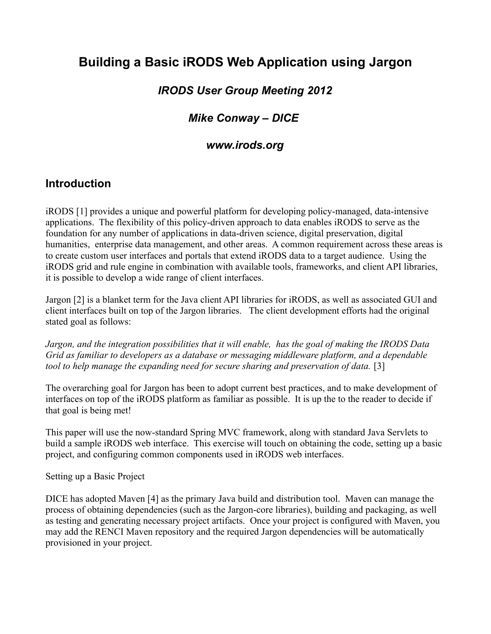## **Building a Basic iRODS Web Application using Jargon**

### *IRODS User Group Meeting 2012*

### *Mike Conway – DICE*

### *www.irods.org*

### **Introduction**

iRODS [1] provides a unique and powerful platform for developing policy-managed, data-intensive applications. The flexibility of this policy-driven approach to data enables iRODS to serve as the foundation for any number of applications in data-driven science, digital preservation, digital humanities, enterprise data management, and other areas. A common requirement across these areas is to create custom user interfaces and portals that extend iRODS data to a target audience. Using the iRODS grid and rule engine in combination with available tools, frameworks, and client API libraries, it is possible to develop a wide range of client interfaces.

Jargon [2] is a blanket term for the Java client API libraries for iRODS, as well as associated GUI and client interfaces built on top of the Jargon libraries. The client development efforts had the original stated goal as follows:

*Jargon, and the integration possibilities that it will enable, has the goal of making the IRODS Data Grid as familiar to developers as a database or messaging middleware platform, and a dependable* tool to help manage the expanding need for secure sharing and preservation of data. [3]

The overarching goal for Jargon has been to adopt current best practices, and to make development of interfaces on top of the iRODS platform as familiar as possible. It is up the to the reader to decide if that goal is being met!

This paper will use the now-standard Spring MVC framework, along with standard Java Servlets to build a sample iRODS web interface. This exercise will touch on obtaining the code, setting up a basic project, and configuring common components used in iRODS web interfaces.

Setting up a Basic Project

DICE has adopted Maven [4] as the primary Java build and distribution tool. Maven can manage the process of obtaining dependencies (such as the Jargon-core libraries), building and packaging, as well as testing and generating necessary project artifacts. Once your project is configured with Maven, you may add the RENCI Maven repository and the required Jargon dependencies will be automatically provisioned in your project.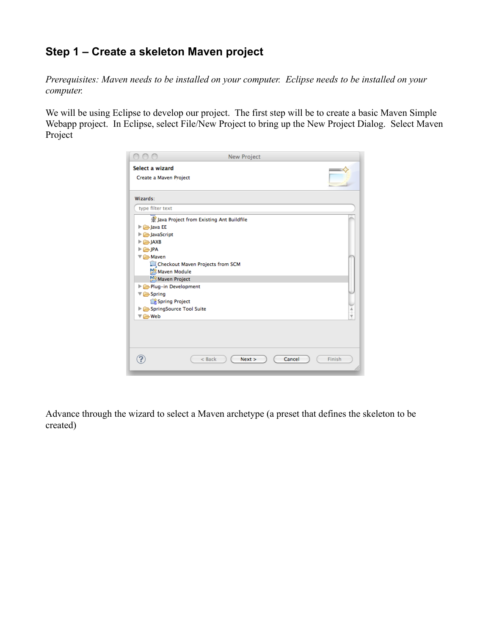## **Step 1 – Create a skeleton Maven project**

*Prerequisites: Maven needs to be installed on your computer. Eclipse needs to be installed on your computer.*

We will be using Eclipse to develop our project. The first step will be to create a basic Maven Simple Webapp project. In Eclipse, select File/New Project to bring up the New Project Dialog. Select Maven Project

|                                           | New Project                              |  |
|-------------------------------------------|------------------------------------------|--|
| Select a wizard                           |                                          |  |
| Create a Maven Project                    |                                          |  |
| Wizards:                                  |                                          |  |
| type filter text                          |                                          |  |
|                                           | Lava Project from Existing Ant Buildfile |  |
| $\triangleright$ $\triangleright$ Java EE |                                          |  |
| JavaScript                                |                                          |  |
| $\triangleright$ $\triangleright$ JAXB    |                                          |  |
| $\triangleright \Box$ JPA                 |                                          |  |
| ▼ A Maven                                 |                                          |  |
|                                           | Checkout Maven Projects from SCM         |  |
| Maven Module                              |                                          |  |
| Maven Project                             |                                          |  |
| Plug-in Development                       |                                          |  |
| $\nabla \triangleright$ Spring            |                                          |  |
| Spring Project                            |                                          |  |
| SpringSource Tool Suite                   |                                          |  |
| ▼ A Web                                   |                                          |  |

Advance through the wizard to select a Maven archetype (a preset that defines the skeleton to be created)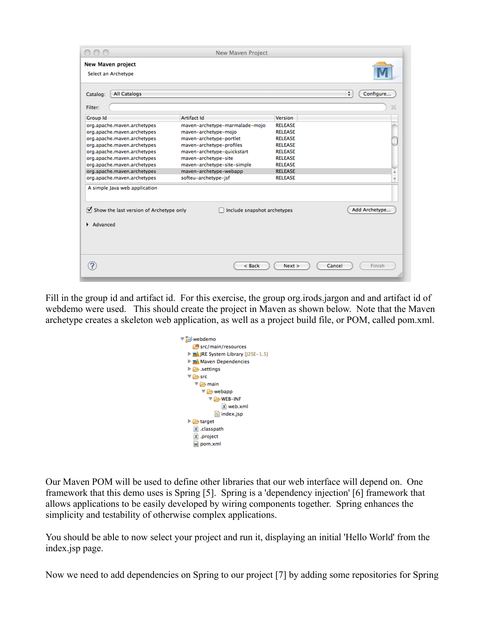| Select an Archetype                                                                                  |                                |                |                     |
|------------------------------------------------------------------------------------------------------|--------------------------------|----------------|---------------------|
| <b>All Catalogs</b><br>Catalog:                                                                      |                                |                | $\div$<br>Configure |
| <b>Filter:</b>                                                                                       |                                |                |                     |
| <b>Group Id</b>                                                                                      | <b>Artifact Id</b>             | Version        |                     |
| org.apache.maven.archetypes                                                                          | maven-archetype-marmalade-mojo | <b>RELEASE</b> |                     |
| org.apache.maven.archetypes                                                                          | maven-archetype-mojo           | <b>RELEASE</b> |                     |
| org.apache.maven.archetypes                                                                          | maven-archetype-portlet        | <b>RELEASE</b> |                     |
| org.apache.maven.archetypes                                                                          | maven-archetype-profiles       | <b>RELEASE</b> |                     |
| org.apache.maven.archetypes                                                                          | maven-archetype-quickstart     | <b>RELEASE</b> |                     |
| org.apache.maven.archetypes                                                                          | maven-archetype-site           | <b>RELEASE</b> |                     |
| org.apache.maven.archetypes                                                                          | maven-archetype-site-simple    | <b>RELEASE</b> |                     |
| org.apache.maven.archetypes                                                                          | maven-archetype-webapp         | <b>RELEASE</b> | Ä                   |
| org.apache.maven.archetypes                                                                          | softeu-archetype-jsf           | <b>RELEASE</b> | ÷                   |
| A simple Java web application<br>$\triangledown$ Show the last version of Archetype only<br>Advanced | Include snapshot archetypes    |                | Add Archetype       |
|                                                                                                      |                                |                |                     |

Fill in the group id and artifact id. For this exercise, the group org.irods.jargon and and artifact id of webdemo were used. This should create the project in Maven as shown below. Note that the Maven archetype creates a skeleton web application, as well as a project build file, or POM, called pom.xml.

| webdemo                                            |
|----------------------------------------------------|
| <sup>(</sup> src/main/resources                    |
| ▶ NE System Library [J2SE-1.5]                     |
| ▶ <u>■ Maven</u> Dependencies                      |
| $\triangleright$ $\triangleright$ .settings        |
| ▼ 户 src                                            |
| ▼ → main                                           |
| $\nabla \triangleright$ webapp                     |
| $\nabla \rightarrow \mathsf{WEB-INF}$              |
| X web.xml                                          |
| $\left  \equiv \right $ index.jsp                  |
| $\blacktriangleright$ $\blacktriangleright$ target |
| x classpath                                        |
| X .project                                         |
| M pom.xml                                          |
|                                                    |

Our Maven POM will be used to define other libraries that our web interface will depend on. One framework that this demo uses is Spring [5]. Spring is a 'dependency injection' [6] framework that allows applications to be easily developed by wiring components together. Spring enhances the simplicity and testability of otherwise complex applications.

You should be able to now select your project and run it, displaying an initial 'Hello World' from the index.jsp page.

Now we need to add dependencies on Spring to our project [7] by adding some repositories for Spring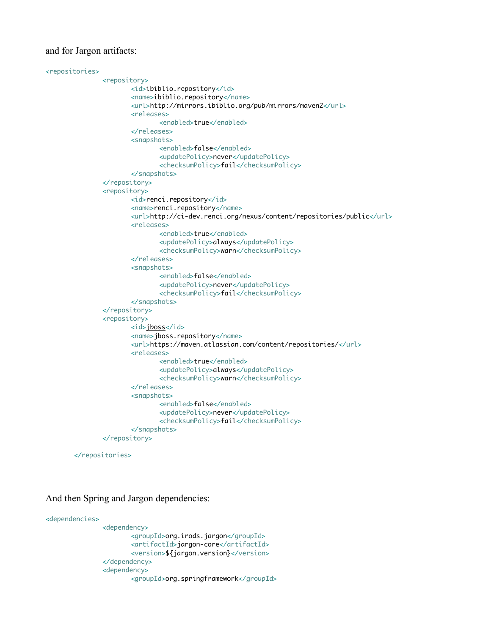#### and for Jargon artifacts:

```
<repositories>
               <repository>
                      <id>ibiblio.repository</id>
                      <name>ibiblio.repository</name>
                      <url>http://mirrors.ibiblio.org/pub/mirrors/maven2</url>
                      <releases>
                              <enabled>true</enabled>
                      </releases>
                      <snapshots>
                              <enabled>false</enabled>
                              <updatePolicy>never</updatePolicy>
                              <checksumPolicy>fail</checksumPolicy>
                      </snapshots>
               </repository>
               <repository>
                      <id>renci.repository</id>
                      <name>renci.repository</name>
                      <url>http://ci-dev.renci.org/nexus/content/repositories/public</url>
                      <releases>
                              <enabled>true</enabled>
                              <updatePolicy>always</updatePolicy>
                              <checksumPolicy>warn</checksumPolicy>
                      </releases>
                      <snapshots>
                              <enabled>false</enabled>
                              <updatePolicy>never</updatePolicy>
                              <checksumPolicy>fail</checksumPolicy>
                      </snapshots>
               </repository>
               <repository>
                      <id>jboss</id>
                      <name>jboss.repository</name>
                      <url>https://maven.atlassian.com/content/repositories/</url>
                      <releases>
                              <enabled>true</enabled>
                              <updatePolicy>always</updatePolicy>
                              <checksumPolicy>warn</checksumPolicy>
                      </releases>
                      <snapshots>
                              <enabled>false</enabled>
                              <updatePolicy>never</updatePolicy>
                              <checksumPolicy>fail</checksumPolicy>
                      </snapshots>
              </repository>
```
</repositories>

And then Spring and Jargon dependencies:

```
<dependencies>
               <dependency>
                      <groupId>org.irods.jargon</groupId>
                      <artifactId>jargon-core</artifactId>
                      <version>${jargon.version}</version>
               </dependency>
               <dependency>
                      <groupId>org.springframework</groupId>
```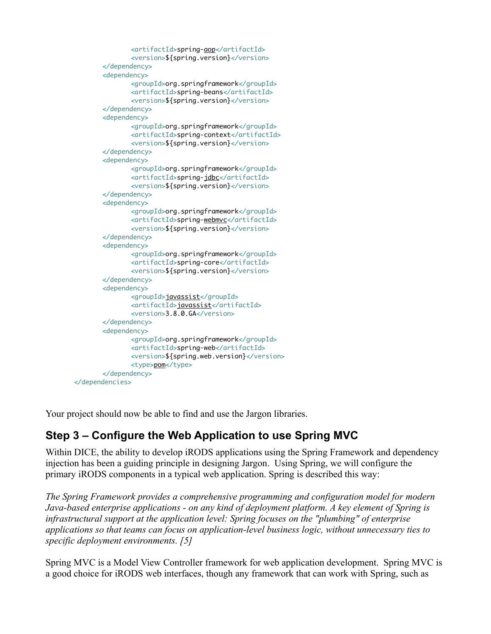```
<artifactId>spring-aop</artifactId>
               <version>${spring.version}</version>
       </dependency>
       <dependency>
               <groupId>org.springframework</groupId>
               <artifactId>spring-beans</artifactId>
               <version>${spring.version}</version>
       </dependency>
       <dependency>
               <groupId>org.springframework</groupId>
               <artifactId>spring-context</artifactId>
               <version>${spring.version}</version>
       </dependency>
       <dependency>
               <groupId>org.springframework</groupId>
               <artifactId>spring-jdbc</artifactId>
               <version>${spring.version}</version>
       </dependency>
       <dependency>
               <groupId>org.springframework</groupId>
               <artifactId>spring-webmvc</artifactId>
               <version>${spring.version}</version>
       </dependency>
       <dependency>
               <groupId>org.springframework</groupId>
               <artifactId>spring-core</artifactId>
               <version>${spring.version}</version>
       </dependency>
       <dependency>
               <groupId>javassist</groupId>
               <artifactId>javassist</artifactId>
               <version>3.8.0.GA</version>
       </dependency>
       <dependency>
               <groupId>org.springframework</groupId>
               <artifactId>spring-web</artifactId>
               <version>${spring.web.version}</version>
               <type>pom</type>
       </dependency>
</dependencies>
```
Your project should now be able to find and use the Jargon libraries.

## **Step 3 – Configure the Web Application to use Spring MVC**

Within DICE, the ability to develop iRODS applications using the Spring Framework and dependency injection has been a guiding principle in designing Jargon. Using Spring, we will configure the primary iRODS components in a typical web application. Spring is described this way:

*The Spring Framework provides a comprehensive programming and configuration model for modern Java-based enterprise applications - on any kind of deployment platform. A key element of Spring is infrastructural support at the application level: Spring focuses on the "plumbing" of enterprise applications so that teams can focus on application-level business logic, without unnecessary ties to specific deployment environments. [5]*

Spring MVC is a Model View Controller framework for web application development. Spring MVC is a good choice for iRODS web interfaces, though any framework that can work with Spring, such as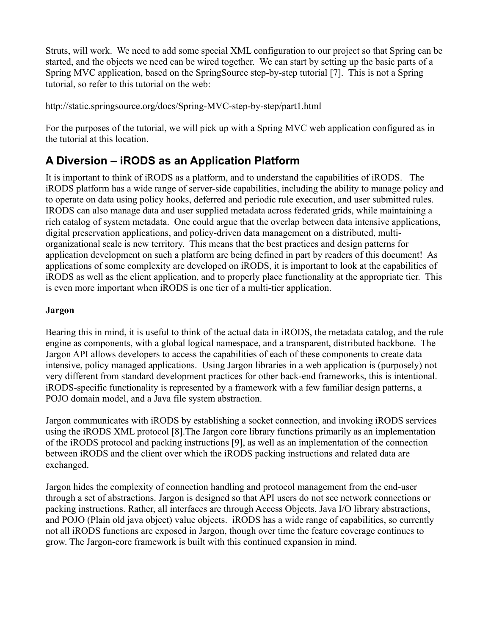Struts, will work. We need to add some special XML configuration to our project so that Spring can be started, and the objects we need can be wired together. We can start by setting up the basic parts of a Spring MVC application, based on the SpringSource step-by-step tutorial [7]. This is not a Spring tutorial, so refer to this tutorial on the web:

http://static.springsource.org/docs/Spring-MVC-step-by-step/part1.html

For the purposes of the tutorial, we will pick up with a Spring MVC web application configured as in the tutorial at this location.

## **A Diversion – iRODS as an Application Platform**

It is important to think of iRODS as a platform, and to understand the capabilities of iRODS. The iRODS platform has a wide range of server-side capabilities, including the ability to manage policy and to operate on data using policy hooks, deferred and periodic rule execution, and user submitted rules. IRODS can also manage data and user supplied metadata across federated grids, while maintaining a rich catalog of system metadata. One could argue that the overlap between data intensive applications, digital preservation applications, and policy-driven data management on a distributed, multiorganizational scale is new territory. This means that the best practices and design patterns for application development on such a platform are being defined in part by readers of this document! As applications of some complexity are developed on iRODS, it is important to look at the capabilities of iRODS as well as the client application, and to properly place functionality at the appropriate tier. This is even more important when iRODS is one tier of a multi-tier application.

#### **Jargon**

Bearing this in mind, it is useful to think of the actual data in iRODS, the metadata catalog, and the rule engine as components, with a global logical namespace, and a transparent, distributed backbone. The Jargon API allows developers to access the capabilities of each of these components to create data intensive, policy managed applications. Using Jargon libraries in a web application is (purposely) not very different from standard development practices for other back-end frameworks, this is intentional. iRODS-specific functionality is represented by a framework with a few familiar design patterns, a POJO domain model, and a Java file system abstraction.

Jargon communicates with iRODS by establishing a socket connection, and invoking iRODS services using the iRODS XML protocol [8].The Jargon core library functions primarily as an implementation of the iRODS protocol and packing instructions [9], as well as an implementation of the connection between iRODS and the client over which the iRODS packing instructions and related data are exchanged.

Jargon hides the complexity of connection handling and protocol management from the end-user through a set of abstractions. Jargon is designed so that API users do not see network connections or packing instructions. Rather, all interfaces are through Access Objects, Java I/O library abstractions, and POJO (Plain old java object) value objects. iRODS has a wide range of capabilities, so currently not all iRODS functions are exposed in Jargon, though over time the feature coverage continues to grow. The Jargon-core framework is built with this continued expansion in mind.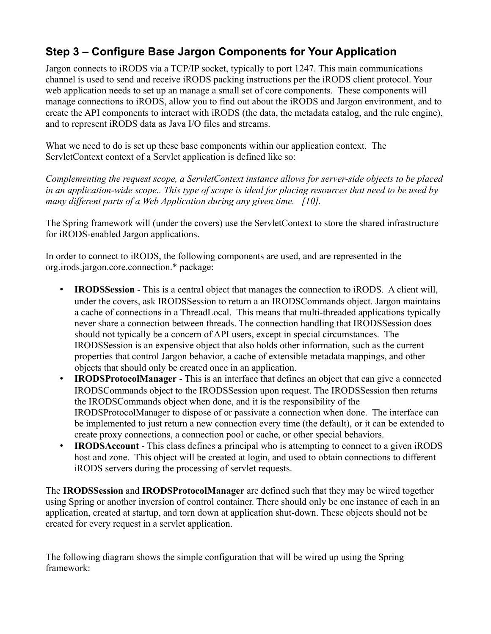## **Step 3 – Configure Base Jargon Components for Your Application**

Jargon connects to iRODS via a TCP/IP socket, typically to port 1247. This main communications channel is used to send and receive iRODS packing instructions per the iRODS client protocol. Your web application needs to set up an manage a small set of core components. These components will manage connections to iRODS, allow you to find out about the iRODS and Jargon environment, and to create the API components to interact with iRODS (the data, the metadata catalog, and the rule engine), and to represent iRODS data as Java I/O files and streams.

What we need to do is set up these base components within our application context. The ServletContext context of a Servlet application is defined like so:

*Complementing the request scope, a ServletContext instance allows for server-side objects to be placed in an application-wide scope.. This type of scope is ideal for placing resources that need to be used by many different parts of a Web Application during any given time. [10].*

The Spring framework will (under the covers) use the ServletContext to store the shared infrastructure for iRODS-enabled Jargon applications.

In order to connect to iRODS, the following components are used, and are represented in the org.irods.jargon.core.connection.\* package:

- **IRODSSession** This is a central object that manages the connection to iRODS. A client will, under the covers, ask IRODSSession to return a an IRODSCommands object. Jargon maintains a cache of connections in a ThreadLocal. This means that multi-threaded applications typically never share a connection between threads. The connection handling that IRODSSession does should not typically be a concern of API users, except in special circumstances. The IRODSSession is an expensive object that also holds other information, such as the current properties that control Jargon behavior, a cache of extensible metadata mappings, and other objects that should only be created once in an application.
- **IRODSProtocolManager** This is an interface that defines an object that can give a connected IRODSCommands object to the IRODSSession upon request. The IRODSSession then returns the IRODSCommands object when done, and it is the responsibility of the IRODSProtocolManager to dispose of or passivate a connection when done. The interface can be implemented to just return a new connection every time (the default), or it can be extended to create proxy connections, a connection pool or cache, or other special behaviors.
- **IRODSAccount** This class defines a principal who is attempting to connect to a given iRODS host and zone. This object will be created at login, and used to obtain connections to different iRODS servers during the processing of servlet requests.

The **IRODSSession** and **IRODSProtocolManager** are defined such that they may be wired together using Spring or another inversion of control container. There should only be one instance of each in an application, created at startup, and torn down at application shut-down. These objects should not be created for every request in a servlet application.

The following diagram shows the simple configuration that will be wired up using the Spring framework: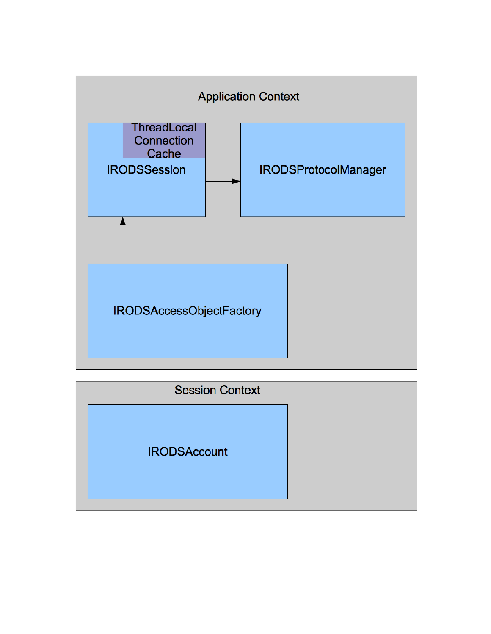

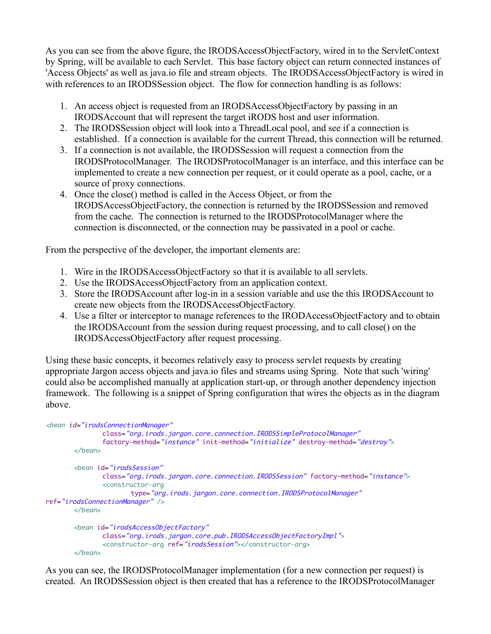As you can see from the above figure, the IRODSAccessObjectFactory, wired in to the ServletContext by Spring, will be available to each Servlet. This base factory object can return connected instances of 'Access Objects' as well as java.io file and stream objects. The IRODSAccessObjectFactory is wired in with references to an IRODSSession object. The flow for connection handling is as follows:

- 1. An access object is requested from an IRODSAccessObjectFactory by passing in an IRODSAccount that will represent the target iRODS host and user information.
- 2. The IRODSSession object will look into a ThreadLocal pool, and see if a connection is established. If a connection is available for the current Thread, this connection will be returned.
- 3. If a connection is not available, the IRODSSession will request a connection from the IRODSProtocolManager. The IRODSProtocolManager is an interface, and this interface can be implemented to create a new connection per request, or it could operate as a pool, cache, or a source of proxy connections.
- 4. Once the close() method is called in the Access Object, or from the IRODSAccessObjectFactory, the connection is returned by the IRODSSession and removed from the cache. The connection is returned to the IRODSProtocolManager where the connection is disconnected, or the connection may be passivated in a pool or cache.

From the perspective of the developer, the important elements are:

- 1. Wire in the IRODSAccessObjectFactory so that it is available to all servlets.
- 2. Use the IRODSAccessObjectFactory from an application context.
- 3. Store the IRODSAccount after log-in in a session variable and use the this IRODSAccount to create new objects from the IRODSAccessObjectFactory.
- 4. Use a filter or interceptor to manage references to the IRODAccessObjectFactory and to obtain the IRODSAccount from the session during request processing, and to call close() on the IRODSAccessObjectFactory after request processing.

Using these basic concepts, it becomes relatively easy to process servlet requests by creating appropriate Jargon access objects and java.io files and streams using Spring. Note that such 'wiring' could also be accomplished manually at application start-up, or through another dependency injection framework. The following is a snippet of Spring configuration that wires the objects as in the diagram above.

```
<bean id="irodsConnectionManager"
              class="org.irods.jargon.core.connection.IRODSSimpleProtocolManager"
              factory-method="instance" init-method="initialize" destroy-method="destroy">
       </bean>
       <bean id="irodsSession"
              class="org.irods.jargon.core.connection.IRODSSession" factory-method="instance">
              <constructor-arg
                      type="org.irods.jargon.core.connection.IRODSProtocolManager"
ref="irodsConnectionManager" />
       </bean>
       <bean id="irodsAccessObjectFactory"
              class="org.irods.jargon.core.pub.IRODSAccessObjectFactoryImpl">
              <constructor-arg ref="irodsSession"></constructor-arg>
       </bean>
```
As you can see, the IRODSProtocolManager implementation (for a new connection per request) is created. An IRODSSession object is then created that has a reference to the IRODSProtocolManager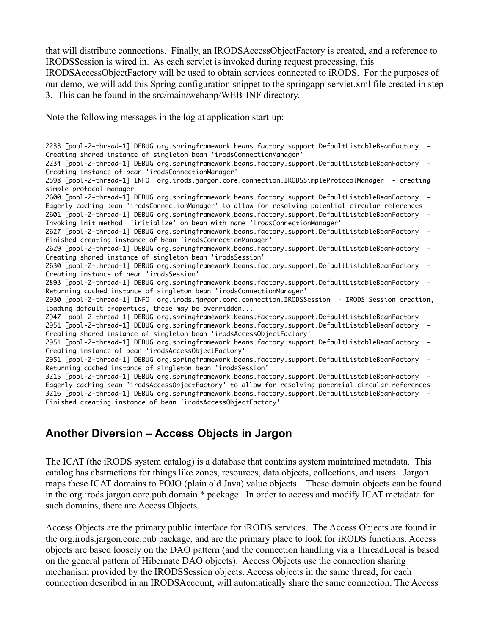that will distribute connections. Finally, an IRODSAccessObjectFactory is created, and a reference to IRODSSession is wired in. As each servlet is invoked during request processing, this

IRODSAccessObjectFactory will be used to obtain services connected to iRODS. For the purposes of our demo, we will add this Spring configuration snippet to the springapp-servlet.xml file created in step 3. This can be found in the src/main/webapp/WEB-INF directory.

Note the following messages in the log at application start-up:

2233 [pool-2-thread-1] DEBUG org.springframework.beans.factory.support.DefaultListableBeanFactory - Creating shared instance of singleton bean 'irodsConnectionManager' 2234 [pool-2-thread-1] DEBUG org.springframework.beans.factory.support.DefaultListableBeanFactory - Creating instance of bean 'irodsConnectionManager' 2598 [pool-2-thread-1] INFO org.irods.jargon.core.connection.IRODSSimpleProtocolManager - creating simple protocol manager 2600 [pool-2-thread-1] DEBUG org.springframework.beans.factory.support.DefaultListableBeanFactory - Eagerly caching bean 'irodsConnectionManager' to allow for resolving potential circular references 2601 [pool-2-thread-1] DEBUG org.springframework.beans.factory.support.DefaultListableBeanFactory - Invoking init method 'initialize' on bean with name 'irodsConnectionManager' 2627 [pool-2-thread-1] DEBUG org.springframework.beans.factory.support.DefaultListableBeanFactory - Finished creating instance of bean 'irodsConnectionManager' 2629 [pool-2-thread-1] DEBUG org.springframework.beans.factory.support.DefaultListableBeanFactory - Creating shared instance of singleton bean 'irodsSession' 2630 [pool-2-thread-1] DEBUG org.springframework.beans.factory.support.DefaultListableBeanFactory - Creating instance of bean 'irodsSession' 2893 [pool-2-thread-1] DEBUG org.springframework.beans.factory.support.DefaultListableBeanFactory - Returning cached instance of singleton bean 'irodsConnectionManager' 2930 [pool-2-thread-1] INFO org.irods.jargon.core.connection.IRODSSession - IRODS Session creation, loading default properties, these may be overridden... 2947 [pool-2-thread-1] DEBUG org.springframework.beans.factory.support.DefaultListableBeanFactory - 2951 [pool-2-thread-1] DEBUG org.springframework.beans.factory.support.DefaultListableBeanFactory - Creating shared instance of singleton bean 'irodsAccessObjectFactory' 2951 [pool-2-thread-1] DEBUG org.springframework.beans.factory.support.DefaultListableBeanFactory - Creating instance of bean 'irodsAccessObjectFactory' 2951 [pool-2-thread-1] DEBUG org.springframework.beans.factory.support.DefaultListableBeanFactory - Returning cached instance of singleton bean 'irodsSession' 3215 [pool-2-thread-1] DEBUG org.springframework.beans.factory.support.DefaultListableBeanFactory - Eagerly caching bean 'irodsAccessObjectFactory' to allow for resolving potential circular references 3216 [pool-2-thread-1] DEBUG org.springframework.beans.factory.support.DefaultListableBeanFactory - Finished creating instance of bean 'irodsAccessObjectFactory'

### **Another Diversion – Access Objects in Jargon**

The ICAT (the iRODS system catalog) is a database that contains system maintained metadata. This catalog has abstractions for things like zones, resources, data objects, collections, and users. Jargon maps these ICAT domains to POJO (plain old Java) value objects. These domain objects can be found in the org.irods.jargon.core.pub.domain.\* package. In order to access and modify ICAT metadata for such domains, there are Access Objects.

Access Objects are the primary public interface for iRODS services. The Access Objects are found in the org.irods.jargon.core.pub package, and are the primary place to look for iRODS functions. Access objects are based loosely on the DAO pattern (and the connection handling via a ThreadLocal is based on the general pattern of Hibernate DAO objects). Access Objects use the connection sharing mechanism provided by the IRODSSession objects. Access objects in the same thread, for each connection described in an IRODSAccount, will automatically share the same connection. The Access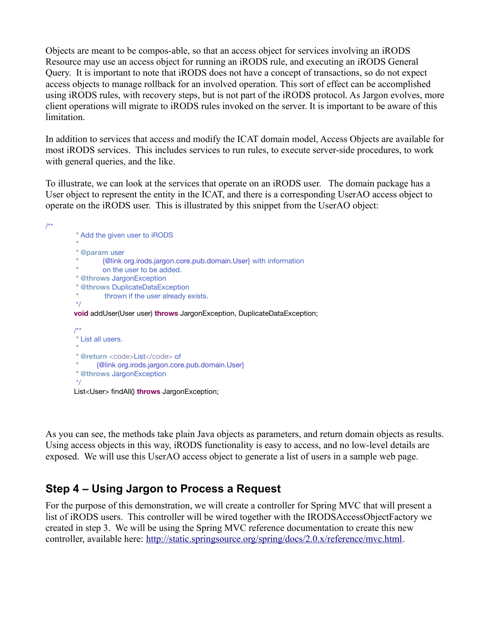Objects are meant to be compos-able, so that an access object for services involving an iRODS Resource may use an access object for running an iRODS rule, and executing an iRODS General Query. It is important to note that iRODS does not have a concept of transactions, so do not expect access objects to manage rollback for an involved operation. This sort of effect can be accomplished using iRODS rules, with recovery steps, but is not part of the iRODS protocol. As Jargon evolves, more client operations will migrate to iRODS rules invoked on the server. It is important to be aware of this limitation.

In addition to services that access and modify the ICAT domain model, Access Objects are available for most iRODS services. This includes services to run rules, to execute server-side procedures, to work with general queries, and the like.

To illustrate, we can look at the services that operate on an iRODS user. The domain package has a User object to represent the entity in the ICAT, and there is a corresponding UserAO access object to operate on the iRODS user. This is illustrated by this snippet from the UserAO object:

```
/**
          * Add the given user to iRODS
          * 
          * @param user
                  * {@link org.irods.jargon.core.pub.domain.User} with information
                 on the user to be added.
          * @throws JargonException
          * @throws DuplicateDataException
                 thrown if the user already exists.
          */
        void addUser(User user) throws JargonException, DuplicateDataException;
         /**
          * List all users.
          * 
         * @return <code>List</code> of
               * {@link org.irods.jargon.core.pub.domain.User}
          * @throws JargonException
          */
        List<User> findAll() throws JargonException;
```
As you can see, the methods take plain Java objects as parameters, and return domain objects as results. Using access objects in this way, iRODS functionality is easy to access, and no low-level details are exposed. We will use this UserAO access object to generate a list of users in a sample web page.

### **Step 4 – Using Jargon to Process a Request**

For the purpose of this demonstration, we will create a controller for Spring MVC that will present a list of iRODS users. This controller will be wired together with the IRODSAccessObjectFactory we created in step 3. We will be using the Spring MVC reference documentation to create this new controller, available here: [http://static.springsource.org/spring/docs/2.0.x/reference/mvc.html.](http://static.springsource.org/spring/docs/2.0.x/reference/mvc.html)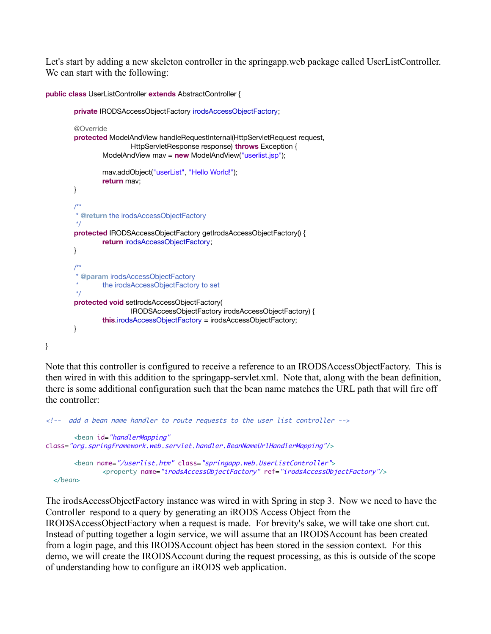Let's start by adding a new skeleton controller in the springapp.web package called UserListController. We can start with the following:

```
public class UserListController extends AbstractController {
        private IRODSAccessObjectFactory irodsAccessObjectFactory;
        @Override
        protected ModelAndView handleRequestInternal(HttpServletRequest request,
                         HttpServletResponse response) throws Exception {
                ModelAndView mav = new ModelAndView("userlist.jsp");
                mav.addObject("userList", "Hello World!");
                return mav;
        }
        /**
          * @return the irodsAccessObjectFactory
          */
        protected IRODSAccessObjectFactory getIrodsAccessObjectFactory() {
                return irodsAccessObjectFactory;
        }
        /**
          * @param irodsAccessObjectFactory
                the irodsAccessObjectFactory to set
         */
        protected void setIrodsAccessObjectFactory(
                         IRODSAccessObjectFactory irodsAccessObjectFactory) {
                this.irodsAccessObjectFactory = irodsAccessObjectFactory;
        }
```
}

Note that this controller is configured to receive a reference to an IRODSAccessObjectFactory. This is then wired in with this addition to the springapp-servlet.xml. Note that, along with the bean definition, there is some additional configuration such that the bean name matches the URL path that will fire off the controller:

```
<!-- add a bean name handler to route requests to the user list controller -->
       <bean id="handlerMapping"
class="org.springframework.web.servlet.handler.BeanNameUrlHandlerMapping"/>
       <bean name="/userlist.htm" class="springapp.web.UserListController">
              <property name="irodsAccessObjectFactory" ref="irodsAccessObjectFactory"/>
  </bean>
```
The irodsAccessObjectFactory instance was wired in with Spring in step 3. Now we need to have the Controller respond to a query by generating an iRODS Access Object from the IRODSAccessObjectFactory when a request is made. For brevity's sake, we will take one short cut. Instead of putting together a login service, we will assume that an IRODSAccount has been created from a login page, and this IRODSAccount object has been stored in the session context. For this demo, we will create the IRODSAccount during the request processing, as this is outside of the scope of understanding how to configure an iRODS web application.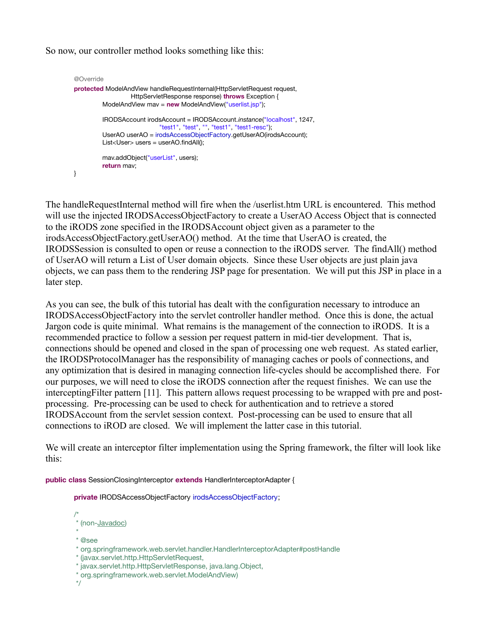So now, our controller method looks something like this:

```
@Override
protected ModelAndView handleRequestInternal(HttpServletRequest request,
                  HttpServletResponse response) throws Exception {
         ModelAndView mav = new ModelAndView("userlist.jsp");
         IRODSAccount irodsAccount = IRODSAccount.instance("localhost", 1247,
                            "test1", "test", "", "test1", "test1-resc");
         UserAO userAO = irodsAccessObjectFactory.getUserAO(irodsAccount);
         List<User> users = userAO.findAll();
         mav.addObject("userList", users);
         return mav;
}
```
The handleRequestInternal method will fire when the /userlist.htm URL is encountered. This method will use the injected IRODSAccessObjectFactory to create a UserAO Access Object that is connected to the iRODS zone specified in the IRODSAccount object given as a parameter to the irodsAccessObjectFactory.getUserAO() method. At the time that UserAO is created, the IRODSSession is consulted to open or reuse a connection to the iRODS server. The findAll() method of UserAO will return a List of User domain objects. Since these User objects are just plain java objects, we can pass them to the rendering JSP page for presentation. We will put this JSP in place in a later step.

As you can see, the bulk of this tutorial has dealt with the configuration necessary to introduce an IRODSAccessObjectFactory into the servlet controller handler method. Once this is done, the actual Jargon code is quite minimal. What remains is the management of the connection to iRODS. It is a recommended practice to follow a session per request pattern in mid-tier development. That is, connections should be opened and closed in the span of processing one web request. As stated earlier, the IRODSProtocolManager has the responsibility of managing caches or pools of connections, and any optimization that is desired in managing connection life-cycles should be accomplished there. For our purposes, we will need to close the iRODS connection after the request finishes. We can use the interceptingFilter pattern [11]. This pattern allows request processing to be wrapped with pre and postprocessing. Pre-processing can be used to check for authentication and to retrieve a stored IRODSAccount from the servlet session context. Post-processing can be used to ensure that all connections to iROD are closed. We will implement the latter case in this tutorial.

We will create an interceptor filter implementation using the Spring framework, the filter will look like this:

**public class** SessionClosingInterceptor **extends** HandlerInterceptorAdapter {

**private** IRODSAccessObjectFactory irodsAccessObjectFactory;

```
/*
 * (non-Javadoc)
```
- \*
- \* @see
- \* org.springframework.web.servlet.handler.HandlerInterceptorAdapter#postHandle
- \* (javax.servlet.http.HttpServletRequest,
- \* javax.servlet.http.HttpServletResponse, java.lang.Object,
- \* org.springframework.web.servlet.ModelAndView)

\*/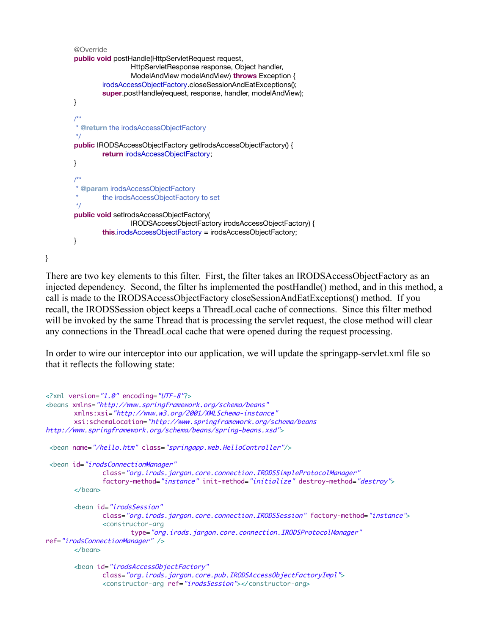```
@Override
public void postHandle(HttpServletRequest request,
                HttpServletResponse response, Object handler,
                ModelAndView modelAndView) throws Exception {
        irodsAccessObjectFactory.closeSessionAndEatExceptions();
        super.postHandle(request, response, handler, modelAndView);
}
/**
 * @return the irodsAccessObjectFactory
 */
public IRODSAccessObjectFactory getIrodsAccessObjectFactory() {
        return irodsAccessObjectFactory;
}
/**
  * @param irodsAccessObjectFactory
        the irodsAccessObjectFactory to set
 */
public void setIrodsAccessObjectFactory(
                IRODSAccessObjectFactory irodsAccessObjectFactory) {
        this.irodsAccessObjectFactory = irodsAccessObjectFactory;
}
```
}

There are two key elements to this filter. First, the filter takes an IRODSAccessObjectFactory as an injected dependency. Second, the filter hs implemented the postHandle() method, and in this method, a call is made to the IRODSAccessObjectFactory closeSessionAndEatExceptions() method. If you recall, the IRODSSession object keeps a ThreadLocal cache of connections. Since this filter method will be invoked by the same Thread that is processing the servlet request, the close method will clear any connections in the ThreadLocal cache that were opened during the request processing.

In order to wire our interceptor into our application, we will update the springapp-servlet.xml file so that it reflects the following state:

```
<?xml version="1.0" encoding="UTF-8"?>
<beans xmlns="http://www.springframework.org/schema/beans"
       xmlns:xsi="http://www.w3.org/2001/XMLSchema-instance"
       xsi:schemaLocation="http://www.springframework.org/schema/beans
http://www.springframework.org/schema/beans/spring-beans.xsd">
<bean name="/hello.htm" class="springapp.web.HelloController"/>
<bean id="irodsConnectionManager"
              class="org.irods.jargon.core.connection.IRODSSimpleProtocolManager"
              factory-method="instance" init-method="initialize" destroy-method="destroy">
       </bean>
       <bean id="irodsSession"
              class="org.irods.jargon.core.connection.IRODSSession" factory-method="instance">
              <constructor-arg
                      type="org.irods.jargon.core.connection.IRODSProtocolManager"
ref="irodsConnectionManager" />
       </bean>
       <bean id="irodsAccessObjectFactory"
              class="org.irods.jargon.core.pub.IRODSAccessObjectFactoryImpl">
              <constructor-arg ref="irodsSession"></constructor-arg>
```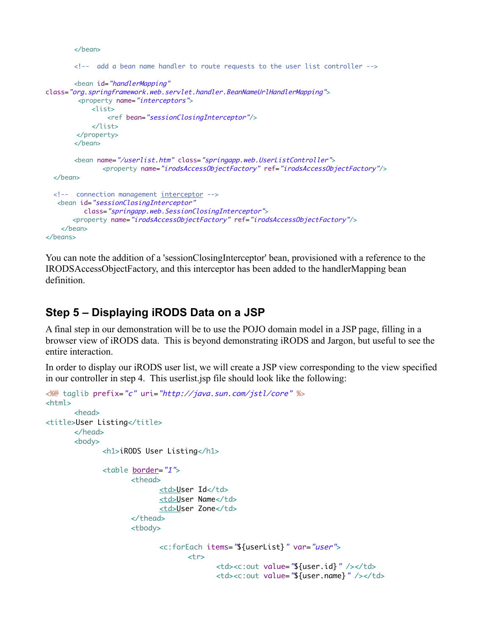</bean>

```
<!-- add a bean name handler to route requests to the user list controller -->
       <bean id="handlerMapping"
class="org.springframework.web.servlet.handler.BeanNameUrlHandlerMapping">
        <property name="interceptors">
             <list>
                 <ref bean="sessionClosingInterceptor"/>
            \angle/lists
         </property>
       </bean>
       <bean name="/userlist.htm" class="springapp.web.UserListController">
               <property name="irodsAccessObjectFactory" ref="irodsAccessObjectFactory"/>
   </bean>
   <!-- connection management interceptor -->
    <bean id="sessionClosingInterceptor"
           class="springapp.web.SessionClosingInterceptor">
       <property name="irodsAccessObjectFactory" ref="irodsAccessObjectFactory"/>
     </bean>
</beans>
```
You can note the addition of a 'sessionClosingInterceptor' bean, provisioned with a reference to the IRODSAccessObjectFactory, and this interceptor has been added to the handlerMapping bean definition.

## **Step 5 – Displaying iRODS Data on a JSP**

A final step in our demonstration will be to use the POJO domain model in a JSP page, filling in a browser view of iRODS data. This is beyond demonstrating iRODS and Jargon, but useful to see the entire interaction.

In order to display our iRODS user list, we will create a JSP view corresponding to the view specified in our controller in step 4. This userlist.jsp file should look like the following:

```
<%@ taglib prefix="c" uri="http://java.sun.com/jstl/core" %>
<html>
      <head>
<title>User Listing</title>
      </head>
      <body>
             <h1>iRODS User Listing</h1>
             <table border="1">
                    <thead>
                          <td>User Id</td>
                          <td>User Name</td>
                          <td>User Zone</td>
                    </thead>
                    <tbody>
                          <c:forEach items="${userList}" var="user">
                                 <tr>
                                        <td><c:out value="${user.id}" /></td>
                                        <td><c:out value="${user.name}" /></td>
```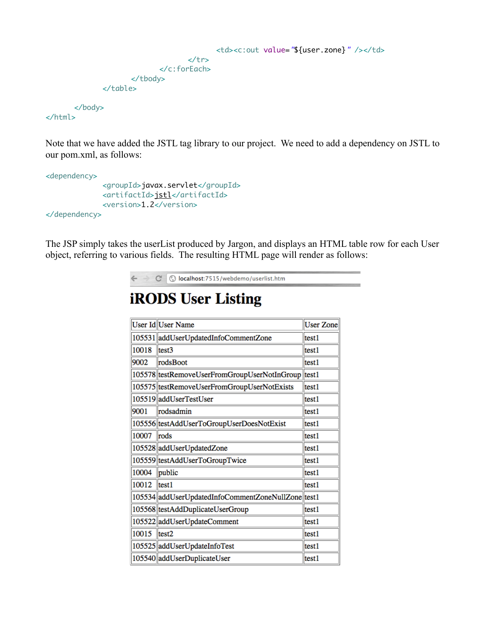```
<td><c:out value="${user.zone}" /></td>
                             \langletr>
                     </c:forEach>
              </tbody>
       </table>
</body>
```
</html>

Note that we have added the JSTL tag library to our project. We need to add a dependency on JSTL to our pom.xml, as follows:

```
<dependency>
             <groupId>javax.servlet</groupId>
             <artifactId>jstl</artifactId>
             <version>1.2</version>
</dependency>
```
The JSP simply takes the userList produced by Jargon, and displays an HTML table row for each User object, referring to various fields. The resulting HTML page will render as follows:



# **iRODS User Listing**

|       | User Id User Name                                  | <b>User Zone</b> |
|-------|----------------------------------------------------|------------------|
|       | 105531 addUserUpdatedInfoCommentZone               | test1            |
| 10018 | test3                                              | test1            |
| 9002  | rodsBoot                                           | test1            |
|       | 105578 testRemoveUserFromGroupUserNotInGroup       | test1            |
|       | 105575 testRemoveUserFromGroupUserNotExists        | test1            |
|       | 105519 addUserTestUser                             | test1            |
| 9001  | rodsadmin                                          | test1            |
|       | 105556 testAddUserToGroupUserDoesNotExist          | test1            |
| 10007 | rods                                               | test1            |
|       | 105528 addUserUpdatedZone                          | test1            |
|       | 105559 testAddUserToGroupTwice                     | test1            |
| 10004 | public                                             | test1            |
| 10012 | test1                                              | test1            |
|       | 105534 addUserUpdatedInfoCommentZoneNullZone test1 |                  |
|       | 105568 testAddDuplicateUserGroup                   | test1            |
|       | 105522 addUserUpdateComment                        | test1            |
| 10015 | test2                                              | test1            |
|       | 105525 addUserUpdateInfoTest                       | test1            |
|       | 105540 addUserDuplicateUser                        | test1            |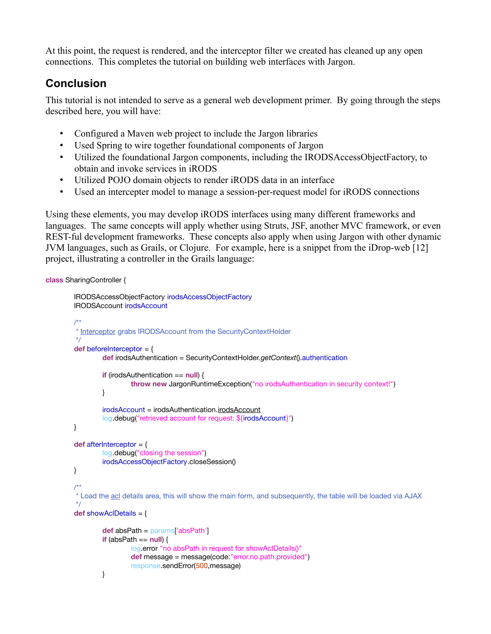At this point, the request is rendered, and the interceptor filter we created has cleaned up any open connections. This completes the tutorial on building web interfaces with Jargon.

## **Conclusion**

This tutorial is not intended to serve as a general web development primer. By going through the steps described here, you will have:

- Configured a Maven web project to include the Jargon libraries
- Used Spring to wire together foundational components of Jargon
- Utilized the foundational Jargon components, including the IRODSAccessObjectFactory, to obtain and invoke services in iRODS
- Utilized POJO domain objects to render iRODS data in an interface
- Used an intercepter model to manage a session-per-request model for iRODS connections

Using these elements, you may develop iRODS interfaces using many different frameworks and languages. The same concepts will apply whether using Struts, JSF, another MVC framework, or even REST-ful development frameworks. These concepts also apply when using Jargon with other dynamic JVM languages, such as Grails, or Clojure. For example, here is a snippet from the iDrop-web [12] project, illustrating a controller in the Grails language:

**class** SharingController {

```
IRODSAccessObjectFactory irodsAccessObjectFactory
IRODSAccount irodsAccount
/**
 * Interceptor grabs IRODSAccount from the SecurityContextHolder
 */
def beforeInterceptor = {
        def irodsAuthentication = SecurityContextHolder.getContext().authentication
        if (irodsAuthentication == null) {
                 throw new JargonRuntimeException("no irodsAuthentication in security context!")
        }
        irodsAccount = irodsAuthentication.irodsAccount
        log.debug("retrieved account for request: ${irodsAccount}")
}
def afterInterceptor = {
        log.debug("closing the session")
        irodsAccessObjectFactory.closeSession()
}
/**
 * Load the acl details area, this will show the main form, and subsequently, the table will be loaded via AJAX
 */
def showAclDetails = {
        def absPath = params['absPath']
        if (absPath == null) {
                 log.error "no absPath in request for showAclDetails()"
                 def message = message(code:"error.no.path.provided")
                 response.sendError(500,message)
        }
```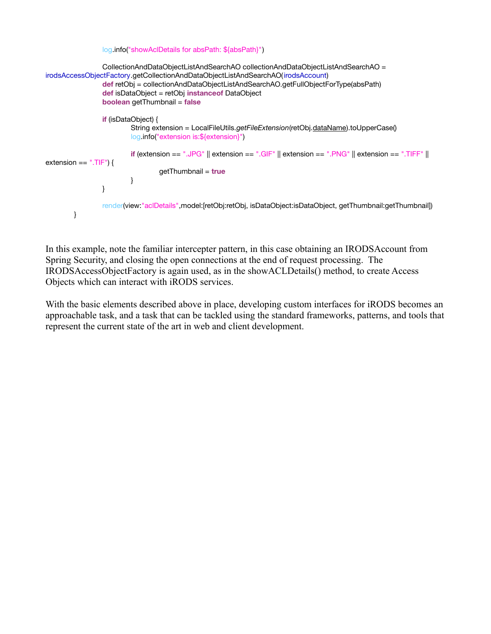```
log.info("showAclDetails for absPath: ${absPath}")
                CollectionAndDataObjectListAndSearchAO collectionAndDataObjectListAndSearchAO =
irodsAccessObjectFactory.getCollectionAndDataObjectListAndSearchAO(irodsAccount)
                 def retObj = collectionAndDataObjectListAndSearchAO.getFullObjectForType(absPath)
                 def isDataObject = retObj instanceof DataObject
                 boolean getThumbnail = false
                 if (isDataObject) {
                         String extension = LocalFileUtils.getFileExtension(retObj.dataName).toUpperCase()
                         log.info("extension is:${extension}")
                         if (extension == ".JPG" || extension == ".GIF" || extension == ".PNG" || extension == ".TIFF" ||
extension == ".TIF") {
                                  getThumbnail = true
                         }
                }
                render(view:"aclDetails",model:[retObj:retObj, isDataObject:isDataObject, getThumbnail:getThumbnail])
        }
```
In this example, note the familiar intercepter pattern, in this case obtaining an IRODSAccount from Spring Security, and closing the open connections at the end of request processing. The IRODSAccessObjectFactory is again used, as in the showACLDetails() method, to create Access Objects which can interact with iRODS services.

With the basic elements described above in place, developing custom interfaces for iRODS becomes an approachable task, and a task that can be tackled using the standard frameworks, patterns, and tools that represent the current state of the art in web and client development.